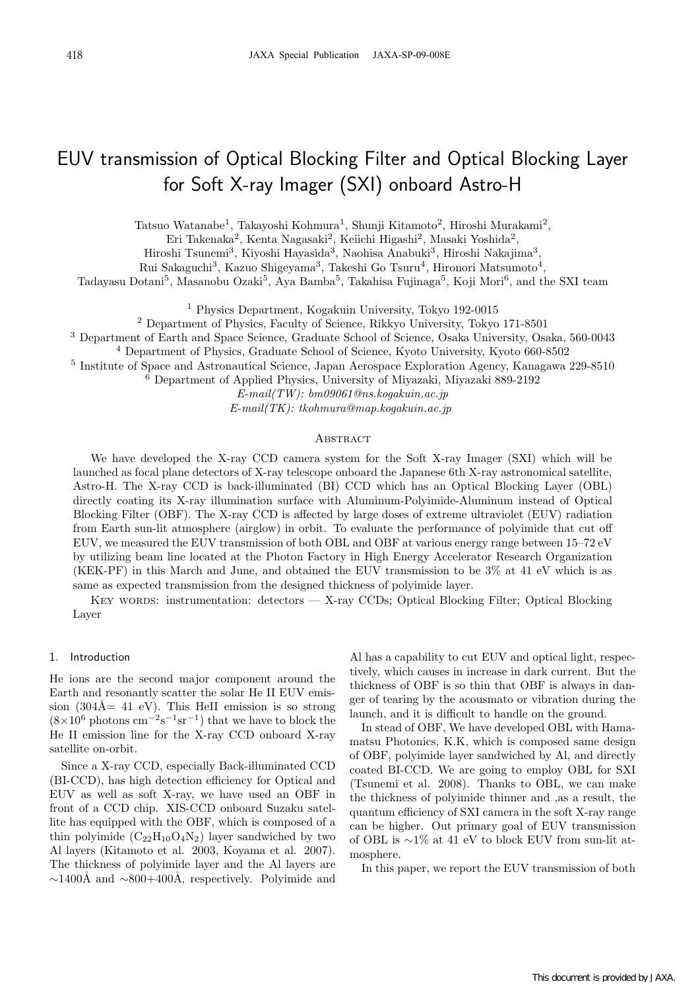# EUV transmission of Optical Blocking Filter and Optical Blocking Layer for Soft X-ray Imager (SXI) onboard Astro-H

Tatsuo Watanabe1, Takayoshi Kohmura1, Shunji Kitamoto2, Hiroshi Murakami2,

Eri Takenaka<sup>2</sup>, Kenta Nagasaki<sup>2</sup>, Keiichi Higashi<sup>2</sup>, Masaki Yoshida<sup>2</sup>,

Hiroshi Tsunemi<sup>3</sup>, Kiyoshi Hayasida<sup>3</sup>, Naohisa Anabuki<sup>3</sup>, Hiroshi Nakajima<sup>3</sup>,

Rui Sakaguchi<sup>3</sup>, Kazuo Shigeyama<sup>3</sup>, Takeshi Go Tsuru<sup>4</sup>, Hironori Matsumoto<sup>4</sup>,

Tadayasu Dotani<sup>5</sup>, Masanobu Ozaki<sup>5</sup>, Aya Bamba<sup>5</sup>, Takahisa Fujinaga<sup>5</sup>, Koji Mori<sup>6</sup>, and the SXI team

<sup>1</sup> Physics Department, Kogakuin University, Tokyo 192-0015

<sup>2</sup> Department of Physics, Faculty of Science, Rikkyo University, Tokyo 171-8501

<sup>3</sup> Department of Earth and Space Science, Graduate School of Science, Osaka University, Osaka, 560-0043

<sup>4</sup> Department of Physics, Graduate School of Science, Kyoto University, Kyoto 660-8502

<sup>5</sup> Institute of Space and Astronautical Science, Japan Aerospace Exploration Agency, Kanagawa 229-8510

<sup>6</sup> Department of Applied Physics, University of Miyazaki, Miyazaki 889-2192

 $E-mail(TW): bm09061@ns.koaakuin.ac.in$ 

 $E-mail(TK): tkohmura@man.koaakuin.ac.in$ 

### **ABSTRACT**

We have developed the X-ray CCD camera system for the Soft X-ray Imager (SXI) which will be launched as focal plane detectors of X-ray telescope onboard the Japanese 6th X-ray astronomical satellite, Astro-H. The X-ray CCD is back-illuminated (BI) CCD which has an Optical Blocking Layer (OBL) directly coating its X-ray illumination surface with Aluminum-Polyimide-Aluminum instead of Optical Blocking Filter (OBF). The X-ray CCD is affected by large doses of extreme ultraviolet (EUV) radiation from Earth sun-lit atmosphere (airglow) in orbit. To evaluate the performance of polyimide that cut off EUV, we measured the EUV transmission of both OBL and OBF at various energy range between 15–72 eV by utilizing beam line located at the Photon Factory in High Energy Accelerator Research Organization (KEK-PF) in this March and June, and obtained the EUV transmission to be 3% at 41 eV which is as same as expected transmission from the designed thickness of polyimide layer.

KEY WORDS: instrumentation: detectors  $-$  X-ray CCDs; Optical Blocking Filter; Optical Blocking Layer

## 1. Introduction

He ions are the second major component around the Earth and resonantly scatter the solar He II EUV emission (304Å = 41 eV). This HeII emission is so strong  $(8\times10^6 \text{ photons cm}^{-2}\text{s}^{-1}\text{sr}^{-1})$  that we have to block the He II emission line for the X-ray CCD onboard X-ray satellite on-orbit.

Since a X-ray CCD, especially Back-illuminated CCD (BI-CCD), has high detection efficiency for Optical and EUV as well as soft X-ray, we have used an OBF in front of a CCD chip. XIS-CCD onboard Suzaku satellite has equipped with the OBF, which is composed of a thin polyimide  $(C_{22}H_{10}O_4N_2)$  layer sandwiched by two Al layers (Kitamoto et al. 2003, Koyama et al. 2007). The thickness of polyimide layer and the Al layers are  $\sim$ 1400Å and  $\sim$ 800+400Å, respectively. Polyimide and

Al has a capability to cut EUV and optical light, respectively, which causes in increase in dark current. But the thickness of OBF is so thin that OBF is always in danger of tearing by the acousmato or vibration during the launch, and it is difficult to handle on the ground.

In stead of OBF, We have developed OBL with Hamamatsu Photonics, K.K, which is composed same design of OBF, polyimide layer sandwiched by Al, and directly coated BI-CCD. We are going to employ OBL for SXI (Tsunemi et al. 2008). Thanks to OBL, we can make the thickness of polyimide thinner and ,as a result, the quantum efficiency of SXI camera in the soft X-ray range can be higher. Out primary goal of EUV transmission of OBL is ∼1% at 41 eV to block EUV from sun-lit atmosphere.

In this paper, we report the EUV transmission of both